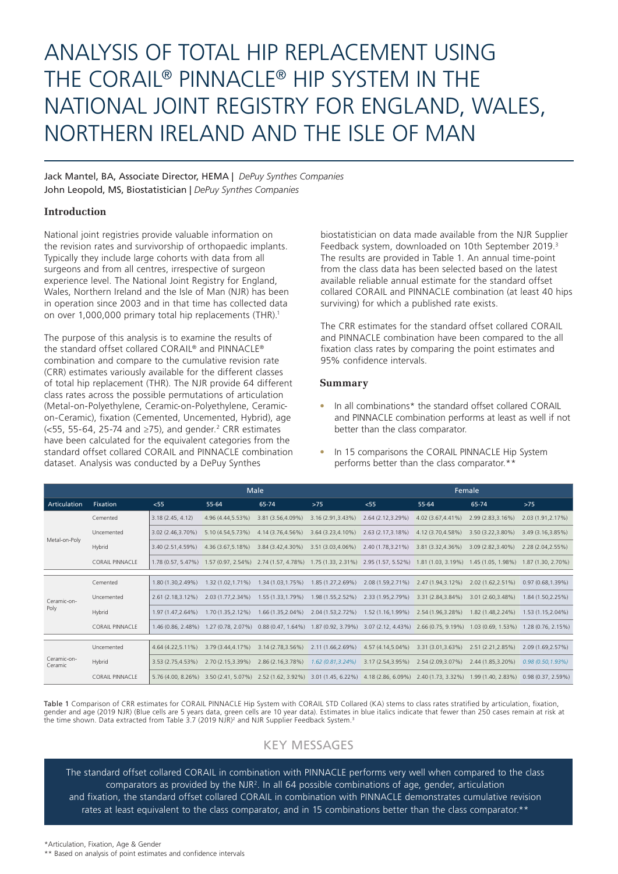# ANALYSIS OF TOTAL HIP REPLACEMENT USING THE CORAIL® PINNACLE® HIP SYSTEM IN THE NATIONAL JOINT REGISTRY FOR ENGLAND, WALES, NORTHERN IRELAND AND THE ISLE OF MAN

Jack Mantel, BA, Associate Director, HEMA | *DePuy Synthes Companies* John Leopold, MS, Biostatistician | *DePuy Synthes Companies*

## **Introduction**

National joint registries provide valuable information on the revision rates and survivorship of orthopaedic implants. Typically they include large cohorts with data from all surgeons and from all centres, irrespective of surgeon experience level. The National Joint Registry for England, Wales, Northern Ireland and the Isle of Man (NJR) has been in operation since 2003 and in that time has collected data on over 1,000,000 primary total hip replacements (THR).1

The purpose of this analysis is to examine the results of the standard offset collared CORAIL® and PINNACLE® combination and compare to the cumulative revision rate (CRR) estimates variously available for the different classes of total hip replacement (THR). The NJR provide 64 different class rates across the possible permutations of articulation (Metal-on-Polyethylene, Ceramic-on-Polyethylene, Ceramicon-Ceramic), fixation (Cemented, Uncemented, Hybrid), age  $\approx$  55-64, 25-74 and  $\ge$ 75), and gender.<sup>2</sup> CRR estimates have been calculated for the equivalent categories from the standard offset collared CORAIL and PINNACLE combination dataset. Analysis was conducted by a DePuy Synthes

biostatistician on data made available from the NJR Supplier Feedback system, downloaded on 10th September 2019.<sup>3</sup> The results are provided in Table 1. An annual time-point from the class data has been selected based on the latest available reliable annual estimate for the standard offset collared CORAIL and PINNACLE combination (at least 40 hips surviving) for which a published rate exists.

The CRR estimates for the standard offset collared CORAIL and PINNACLE combination have been compared to the all fixation class rates by comparing the point estimates and 95% confidence intervals.

## **Summary**

- In all combinations\* the standard offset collared CORAIL and PINNACLE combination performs at least as well if not better than the class comparator.
- In 15 comparisons the CORAIL PINNACLE Hip System performs better than the class comparator.\*\*

|                        |                        | Male                 |                                            |                      |                                       | Female                                                     |                    |                    |                      |
|------------------------|------------------------|----------------------|--------------------------------------------|----------------------|---------------------------------------|------------------------------------------------------------|--------------------|--------------------|----------------------|
| Articulation           | <b>Fixation</b>        | < 55                 | 55-64                                      | 65-74                | $>75$                                 | $<$ 55                                                     | 55-64              | 65-74              | $>75$                |
| Metal-on-Poly          | Cemented               | 3.18(2.45, 4.12)     | 4.96 (4.44.5.53%)                          | 3.81 (3.56.4.09%)    | 3.16 (2.91.3.43%)                     | 2.64 (2.12.3.29%)                                          | 4.02 (3.67.4.41%)  | 2.99 (2.83.3.16%)  | 2.03 (1.91.2.17%)    |
|                        | Uncemented             | 3.02 (2.46.3.70%)    | 5.10 (4.54,5.73%)                          | 4.14 (3.76.4.56%)    | 3.64 (3.23.4.10%)                     | 2.63 (2.17,3.18%)                                          | 4.12 (3.70.4.58%)  | 3.50 (3.22.3.80%)  | 3.49 (3.16, 3.85%)   |
|                        | Hybrid                 | 3.40 (2.51.4.59%)    | 4.36 (3.67,5.18%)                          | 3.84 (3.42.4.30%)    | 3.51 (3.03.4.06%)                     | 2.40 (1.78.3.21%)                                          | 3.81 (3.32,4.36%)  | 3.09 (2.82.3.40%)  | 2.28 (2.04, 2.55%)   |
|                        | <b>CORAIL PINNACLE</b> | $1.78(0.57, 5.47\%)$ | $1.57(0.97, 2.54\%)$ 2.74 $(1.57, 4.78\%)$ |                      | 1.75 (1.33, 2.31%) 2.95 (1.57, 5.52%) |                                                            | 1.81(1.03, 3.19%)  | 1.45 (1.05, 1.98%) | 1.87 (1.30, 2.70%)   |
|                        |                        |                      |                                            |                      |                                       |                                                            |                    |                    |                      |
| Ceramic-on-<br>Poly    | Cemented               | 1.80 (1.30.2.49%)    | $1.32(1.02.1.71\%)$                        | 1.34 (1.03.1.75%)    | 1.85 (1.27.2.69%)                     | 2.08 (1.59.2.71%)                                          | 2.47 (1.94.3.12%)  | 2.02 (1.62.2.51%)  | 0.97(0.68.1.39%)     |
|                        | Uncemented             | 2.61 (2.18.3.12%)    | 2.03 (1.77, 2.34%)                         | 1.55 (1.33.1.79%)    | 1.98 (1.55, 2.52%)                    | 2.33 (1.95.2.79%)                                          | 3.31 (2.84,3.84%)  | 3.01 (2.60.3.48%)  | 1.84 (1.50, 2.25%)   |
|                        | Hybrid                 | 1.97 (1.47.2.64%)    | $1.70(1.35.2.12\%)$                        | 1.66 (1.35.2.04%)    | 2.04 (1.53, 2.72%)                    | 1.52 (1.16.1.99%)                                          | 2.54 (1.96.3.28%)  | 1.82 (1.48.2.24%)  | 1.53 (1.15,2.04%)    |
|                        | <b>CORAIL PINNACLE</b> | $1.46(0.86, 2.48\%)$ | $1.27(0.78, 2.07\%)$                       | $0.88(0.47, 1.64\%)$ |                                       | $1.87(0.92, 3.79\%)$ 3.07 (2.12, 4.43%) 2.66 (0.75, 9.19%) |                    | 1.03(0.69, 1.53%)  | 1.28(0.76, 2.15%)    |
|                        |                        |                      |                                            |                      |                                       |                                                            |                    |                    |                      |
| Ceramic-on-<br>Ceramic | Uncemented             | 4.64 (4.22.5.11%)    | 3.79 (3.44.4.17%)                          | 3.14 (2.78.3.56%)    | 2.11 (1.66.2.69%)                     | 4.57 (4.14,5.04%)                                          | 3.31 (3.01.3.63%)  | 2.51 (2.21.2.85%)  | 2.09 (1.69.2.57%)    |
|                        | Hybrid                 | 3.53 (2.75.4.53%)    | 2.70 (2.15,3.39%)                          | 2.86 (2.16.3.78%)    | $1.62(0.81, 3.24\%)$                  | 3.17 (2.54,3.95%)                                          | 2.54 (2.09, 3.07%) | 2.44 (1.85.3.20%)  | 0.98(0.50.1.93%)     |
|                        | <b>CORAIL PINNACLE</b> | 5.76 (4.00, 8.26%)   | 3.50 (2.41, 5.07%) 2.52 (1.62, 3.92%)      |                      | 3.01 (1.45, 6.22%) 4.18 (2.86, 6.09%) |                                                            | 2.40 (1.73, 3.32%) | 1.99 (1.40, 2.83%) | $0.98(0.37, 2.59\%)$ |

Table 1 Comparison of CRR estimates for CORAIL PINNACLE Hip System with CORAIL STD Collared (KA) stems to class rates stratified by articulation, fixation, gender and age (2019 NJR) (Blue cells are 5 years data, green cells are 10 year data). Estimates in blue italics indicate that fewer than 250 cases remain at risk at<br>the time shown. Data extracted from Table 3.7 (2019 NJR)

# KEY MESSAGES

The standard offset collared CORAIL in combination with PINNACLE performs very well when compared to the class comparators as provided by the NJR<sup>2</sup>. In all 64 possible combinations of age, gender, articulation and fixation, the standard offset collared CORAIL in combination with PINNACLE demonstrates cumulative revision rates at least equivalent to the class comparator, and in 15 combinations better than the class comparator.\*\*

<sup>\*\*</sup> Based on analysis of point estimates and confidence intervals